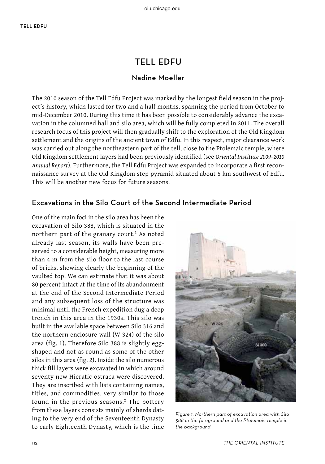# tell edfu

### Nadine Moeller

The 2010 season of the Tell Edfu Project was marked by the longest field season in the project's history, which lasted for two and a half months, spanning the period from October to mid-December 2010. During this time it has been possible to considerably advance the excavation in the columned hall and silo area, which will be fully completed in 2011. The overall research focus of this project will then gradually shift to the exploration of the Old Kingdom settlement and the origins of the ancient town of Edfu. In this respect, major clearance work was carried out along the northeastern part of the tell, close to the Ptolemaic temple, where Old Kingdom settlement layers had been previously identified (see *Oriental Institute 2009–2010 Annual Report*). Furthermore, the Tell Edfu Project was expanded to incorporate a first reconnaissance survey at the Old Kingdom step pyramid situated about 5 km southwest of Edfu. This will be another new focus for future seasons.

## Excavations in the Silo Court of the Second Intermediate Period

One of the main foci in the silo area has been the excavation of Silo 388, which is situated in the northern part of the granary court.<sup>1</sup> As noted already last season, its walls have been preserved to a considerable height, measuring more than 4 m from the silo floor to the last course of bricks, showing clearly the beginning of the vaulted top. We can estimate that it was about 80 percent intact at the time of its abandonment at the end of the Second Intermediate Period and any subsequent loss of the structure was minimal until the French expedition dug a deep trench in this area in the 1930s. This silo was built in the available space between Silo 316 and the northern enclosure wall (W 324) of the silo area (fig. 1). Therefore Silo 388 is slightly eggshaped and not as round as some of the other silos in this area (fig. 2). Inside the silo numerous thick fill layers were excavated in which around seventy new Hieratic ostraca were discovered. They are inscribed with lists containing names, titles, and commodities, very similar to those found in the previous seasons.<sup>2</sup> The pottery from these layers consists mainly of sherds dating to the very end of the Seventeenth Dynasty to early Eighteenth Dynasty, which is the time



Figure 1. Northern part of excavation area with Silo 388 in the foreground and the Ptolemaic temple in the background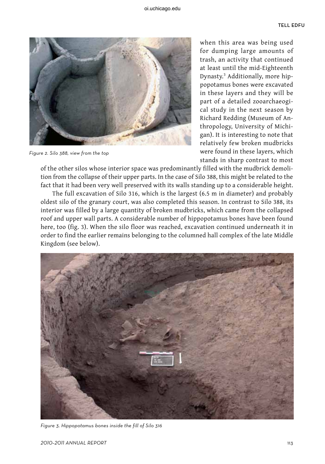

Figure 2. Silo 388, view from the top

when this area was being used for dumping large amounts of trash, an activity that continued at least until the mid-Eighteenth Dynasty.3 Additionally, more hippopotamus bones were excavated in these layers and they will be part of a detailed zooarchaeogical study in the next season by Richard Redding (Museum of Anthropology, University of Michigan). It is interesting to note that relatively few broken mudbricks were found in these layers, which stands in sharp contrast to most

of the other silos whose interior space was predominantly filled with the mudbrick demolition from the collapse of their upper parts. In the case of Silo 388, this might be related to the fact that it had been very well preserved with its walls standing up to a considerable height.

The full excavation of Silo 316, which is the largest (6.5 m in diameter) and probably oldest silo of the granary court, was also completed this season. In contrast to Silo 388, its interior was filled by a large quantity of broken mudbricks, which came from the collapsed roof and upper wall parts. A considerable number of hippopotamus bones have been found here, too (fig. 3). When the silo floor was reached, excavation continued underneath it in order to find the earlier remains belonging to the columned hall complex of the late Middle Kingdom (see below).



Figure 3. Hippopotamus bones inside the fill of Silo 316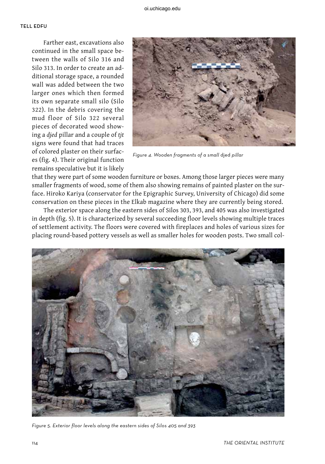Farther east, excavations also continued in the small space between the walls of Silo 316 and Silo 313. In order to create an additional storage space, a rounded wall was added between the two larger ones which then formed its own separate small silo (Silo 322). In the debris covering the mud floor of Silo 322 several pieces of decorated wood showing a *djed* pillar and a couple of *tjt* signs were found that had traces of colored plaster on their surfaces (fig. 4). Their original function remains speculative but it is likely



Figure 4. Wooden fragments of a small djed pillar

that they were part of some wooden furniture or boxes. Among those larger pieces were many smaller fragments of wood, some of them also showing remains of painted plaster on the surface. Hiroko Kariya (conservator for the Epigraphic Survey, University of Chicago) did some conservation on these pieces in the Elkab magazine where they are currently being stored.

The exterior space along the eastern sides of Silos 303, 393, and 405 was also investigated in depth (fig. 5). It is characterized by several succeeding floor levels showing multiple traces of settlement activity. The floors were covered with fireplaces and holes of various sizes for placing round-based pottery vessels as well as smaller holes for wooden posts. Two small col-



Figure 5. Exterior floor levels along the eastern sides of Silos 405 and 393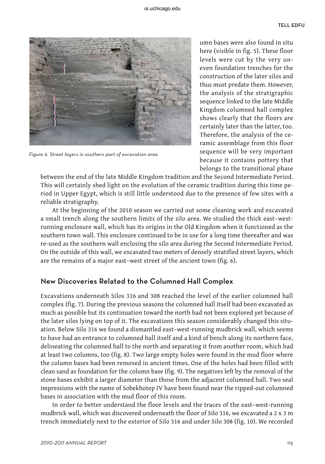

Figure 6. Street layers in southern part of excavation area

umn bases were also found in situ here (visible in fig. 5). These floor levels were cut by the very uneven foundation trenches for the construction of the later silos and thus must predate them. However, the analysis of the stratigraphic sequence linked to the late Middle Kingdom columned hall complex shows clearly that the floors are certainly later than the latter, too. Therefore, the analysis of the ceramic assemblage from this floor sequence will be very important because it contains pottery that belongs to the transitional phase

between the end of the late Middle Kingdom tradition and the Second Intermediate Period. This will certainly shed light on the evolution of the ceramic tradition during this time period in Upper Egypt, which is still little understood due to the presence of few sites with a reliable stratigraphy.

At the beginning of the 2010 season we carried out some cleaning work and excavated a small trench along the southern limits of the silo area. We studied the thick east–westrunning enclosure wall, which has its origins in the Old Kingdom when it functioned as the southern town wall. This enclosure continued to be in use for a long time thereafter and was re-used as the southern wall enclosing the silo area during the Second Intermediate Period. On the outside of this wall, we excavated two meters of densely stratified street layers, which are the remains of a major east–west street of the ancient town (fig. 6).

### New Discoveries Related to the Columned Hall Complex

Excavations underneath Silos 316 and 308 reached the level of the earlier columned hall complex (fig. 7). During the previous seasons the columned hall itself had been excavated as much as possible but its continuation toward the north had not been explored yet because of the later silos lying on top of it. The excavations this season considerably changed this situation. Below Silo 316 we found a dismantled east–west-running mudbrick wall, which seems to have had an entrance to columned hall itself and a kind of bench along its northern face, delineating the columned hall to the north and separating it from another room, which had at least two columns, too (fig. 8). Two large empty holes were found in the mud floor where the column bases had been removed in ancient times. One of the holes had been filled with clean sand as foundation for the column base (fig. 9). The negatives left by the removal of the stone bases exhibit a larger diameter than those from the adjacent columned hall. Two seal impressions with the name of Sobekhotep IV have been found near the ripped-out columned bases in association with the mud floor of this room.

In order to better understand the floor levels and the traces of the east–west-running mudbrick wall, which was discovered underneath the floor of Silo 316, we excavated a 2 x 3 m trench immediately next to the exterior of Silo 316 and under Silo 308 (fig. 10). We recorded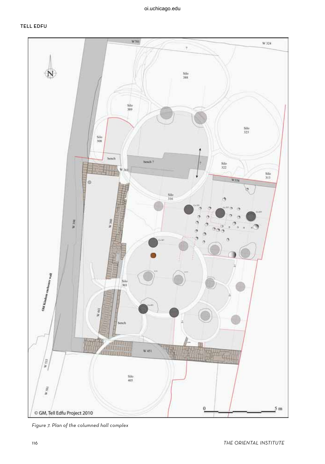

Figure 7. Plan of the columned hall complex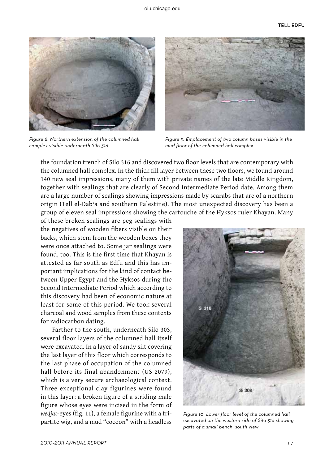

Figure 8. Northern extension of the columned hall complex visible underneath Silo 316



Figure 9. Emplacement of two column bases visible in the mud floor of the columned hall complex

the foundation trench of Silo 316 and discovered two floor levels that are contemporary with the columned hall complex. In the thick fill layer between these two floors, we found around 140 new seal impressions, many of them with private names of the late Middle Kingdom, together with sealings that are clearly of Second Intermediate Period date. Among them are a large number of sealings showing impressions made by scarabs that are of a northern origin (Tell el-Dabʾa and southern Palestine). The most unexpected discovery has been a group of eleven seal impressions showing the cartouche of the Hyksos ruler Khayan. Many

of these broken sealings are peg sealings with the negatives of wooden fibers visible on their backs, which stem from the wooden boxes they were once attached to. Some jar sealings were found, too. This is the first time that Khayan is attested as far south as Edfu and this has important implications for the kind of contact between Upper Egypt and the Hyksos during the Second Intermediate Period which according to this discovery had been of economic nature at least for some of this period. We took several charcoal and wood samples from these contexts for radiocarbon dating.

Farther to the south, underneath Silo 303, several floor layers of the columned hall itself were excavated. In a layer of sandy silt covering the last layer of this floor which corresponds to the last phase of occupation of the columned hall before its final abandonment (US 2079), which is a very secure archaeological context. Three exceptional clay figurines were found in this layer: a broken figure of a striding male figure whose eyes were incised in the form of *wedjat*-eyes (fig. 11), a female figurine with a tripartite wig, and a mud "cocoon" with a headless



Figure 10. Lower floor level of the columned hall excavated on the western side of Silo 316 showing parts of a small bench, south view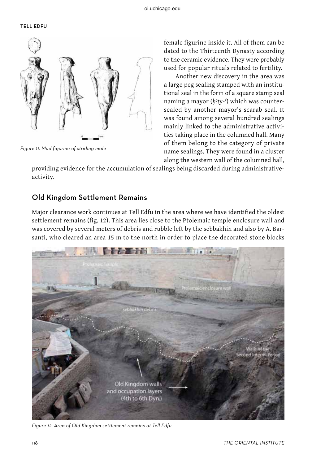#### TELL EDFU



Figure 11. Mud figurine of striding male

female figurine inside it. All of them can be dated to the Thirteenth Dynasty according to the ceramic evidence. They were probably used for popular rituals related to fertility.

Another new discovery in the area was a large peg sealing stamped with an institutional seal in the form of a square stamp seal naming a mayor (*ḥꜢty-ʿ*) which was countersealed by another mayor's scarab seal. It was found among several hundred sealings mainly linked to the administrative activities taking place in the columned hall. Many of them belong to the category of private name sealings. They were found in a cluster along the western wall of the columned hall,

providing evidence for the accumulation of sealings being discarded during administrativeactivity.

#### Old Kingdom Settlement Remains

Major clearance work continues at Tell Edfu in the area where we have identified the oldest settlement remains (fig. 12). This area lies close to the Ptolemaic temple enclosure wall and was covered by several meters of debris and rubble left by the sebbakhin and also by A. Barsanti, who cleared an area 15 m to the north in order to place the decorated stone blocks



Figure 12. Area of Old Kingdom settlement remains at Tell Edfu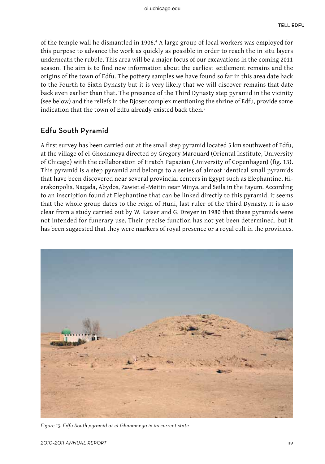of the temple wall he dismantled in 1906.<sup>4</sup> A large group of local workers was employed for this purpose to advance the work as quickly as possible in order to reach the in situ layers underneath the rubble. This area will be a major focus of our excavations in the coming 2011 season. The aim is to find new information about the earliest settlement remains and the origins of the town of Edfu. The pottery samples we have found so far in this area date back to the Fourth to Sixth Dynasty but it is very likely that we will discover remains that date back even earlier than that. The presence of the Third Dynasty step pyramid in the vicinity (see below) and the reliefs in the Djoser complex mentioning the shrine of Edfu, provide some indication that the town of Edfu already existed back then.<sup>5</sup>

# Edfu South Pyramid

A first survey has been carried out at the small step pyramid located 5 km southwest of Edfu, at the village of el-Ghonameya directed by Gregory Marouard (Oriental Institute, University of Chicago) with the collaboration of Hratch Papazian (University of Copenhagen) (fig. 13). This pyramid is a step pyramid and belongs to a series of almost identical small pyramids that have been discovered near several provincial centers in Egypt such as Elephantine, Hierakonpolis, Naqada, Abydos, Zawiet el-Meitin near Minya, and Seila in the Fayum. According to an inscription found at Elephantine that can be linked directly to this pyramid, it seems that the whole group dates to the reign of Huni, last ruler of the Third Dynasty. It is also clear from a study carried out by W. Kaiser and G. Dreyer in 1980 that these pyramids were not intended for funerary use. Their precise function has not yet been determined, but it has been suggested that they were markers of royal presence or a royal cult in the provinces.



Figure 13. Edfu South pyramid at el-Ghonameya in its current state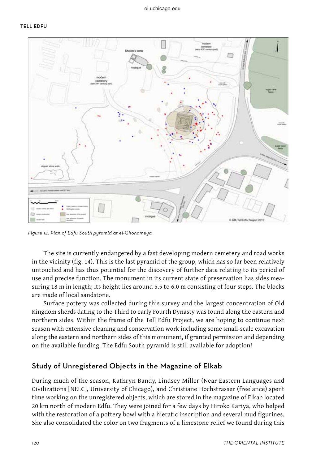

Figure 14. Plan of Edfu South pyramid at el-Ghonameya

The site is currently endangered by a fast developing modern cemetery and road works in the vicinity (fig. 14). This is the last pyramid of the group, which has so far been relatively untouched and has thus potential for the discovery of further data relating to its period of use and precise function. The monument in its current state of preservation has sides measuring 18 m in length; its height lies around 5.5 to 6.0 m consisting of four steps. The blocks are made of local sandstone.

Surface pottery was collected during this survey and the largest concentration of Old Kingdom sherds dating to the Third to early Fourth Dynasty was found along the eastern and northern sides. Within the frame of the Tell Edfu Project, we are hoping to continue next season with extensive cleaning and conservation work including some small-scale excavation along the eastern and northern sides of this monument, if granted permission and depending on the available funding. The Edfu South pyramid is still available for adoption!

#### Study of Unregistered Objects in the Magazine of Elkab

During much of the season, Kathryn Bandy, Lindsey Miller (Near Eastern Languages and Civilizations [NELC], University of Chicago), and Christiane Hochstrasser (freelance) spent time working on the unregistered objects, which are stored in the magazine of Elkab located 20 km north of modern Edfu. They were joined for a few days by Hiroko Kariya, who helped with the restoration of a pottery bowl with a hieratic inscription and several mud figurines. She also consolidated the color on two fragments of a limestone relief we found during this